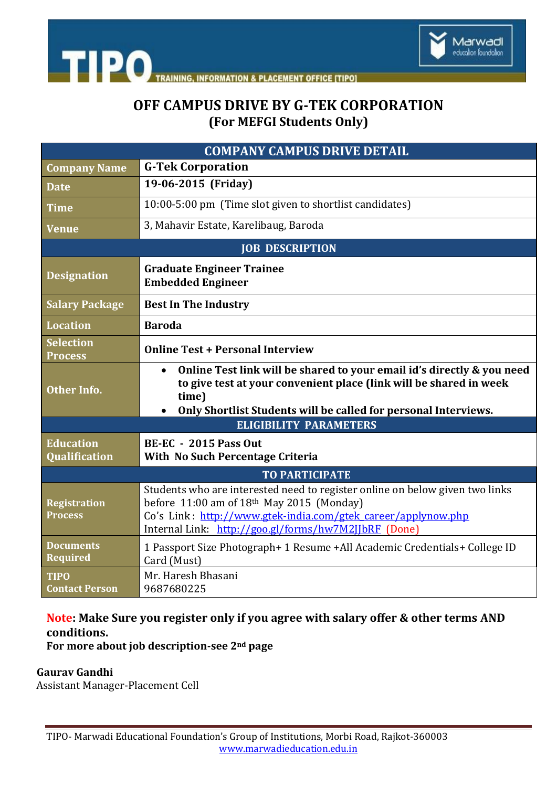

**TIPO ACEMENT OFFICE ITIPOI** 

# **OFF CAMPUS DRIVE BY G-TEK CORPORATION (For MEFGI Students Only)**

| <b>COMPANY CAMPUS DRIVE DETAIL</b>    |                                                                                                                                                                                                                                                        |
|---------------------------------------|--------------------------------------------------------------------------------------------------------------------------------------------------------------------------------------------------------------------------------------------------------|
| <b>Company Name</b>                   | <b>G-Tek Corporation</b>                                                                                                                                                                                                                               |
| <b>Date</b>                           | 19-06-2015 (Friday)                                                                                                                                                                                                                                    |
| <b>Time</b>                           | 10:00-5:00 pm (Time slot given to shortlist candidates)                                                                                                                                                                                                |
| <b>Venue</b>                          | 3, Mahavir Estate, Karelibaug, Baroda                                                                                                                                                                                                                  |
| <b>JOB DESCRIPTION</b>                |                                                                                                                                                                                                                                                        |
| <b>Designation</b>                    | <b>Graduate Engineer Trainee</b><br><b>Embedded Engineer</b>                                                                                                                                                                                           |
| <b>Salary Package</b>                 | <b>Best In The Industry</b>                                                                                                                                                                                                                            |
| <b>Location</b>                       | <b>Baroda</b>                                                                                                                                                                                                                                          |
| <b>Selection</b><br><b>Process</b>    | <b>Online Test + Personal Interview</b>                                                                                                                                                                                                                |
| <b>Other Info.</b>                    | Online Test link will be shared to your email id's directly & you need<br>$\bullet$<br>to give test at your convenient place (link will be shared in week<br>time)<br>Only Shortlist Students will be called for personal Interviews.                  |
| <b>ELIGIBILITY PARAMETERS</b>         |                                                                                                                                                                                                                                                        |
| <b>Education</b><br>Qualification     | <b>BE-EC - 2015 Pass Out</b><br>With No Such Percentage Criteria                                                                                                                                                                                       |
| <b>TO PARTICIPATE</b>                 |                                                                                                                                                                                                                                                        |
| <b>Registration</b><br><b>Process</b> | Students who are interested need to register online on below given two links<br>before $11:00$ am of $18th$ May 2015 (Monday)<br>Co's Link: http://www.gtek-india.com/gtek career/applynow.php<br>Internal Link: http://goo.gl/forms/hw7M2JJbRF (Done) |
| <b>Documents</b><br><b>Required</b>   | 1 Passport Size Photograph+ 1 Resume + All Academic Credentials + College ID<br>Card (Must)                                                                                                                                                            |
| <b>TIPO</b><br><b>Contact Person</b>  | Mr. Haresh Bhasani<br>9687680225                                                                                                                                                                                                                       |

### **Note: Make Sure you register only if you agree with salary offer & other terms AND conditions.**

**For more about job description-see 2nd page** 

**Gaurav Gandhi** 

Assistant Manager-Placement Cell